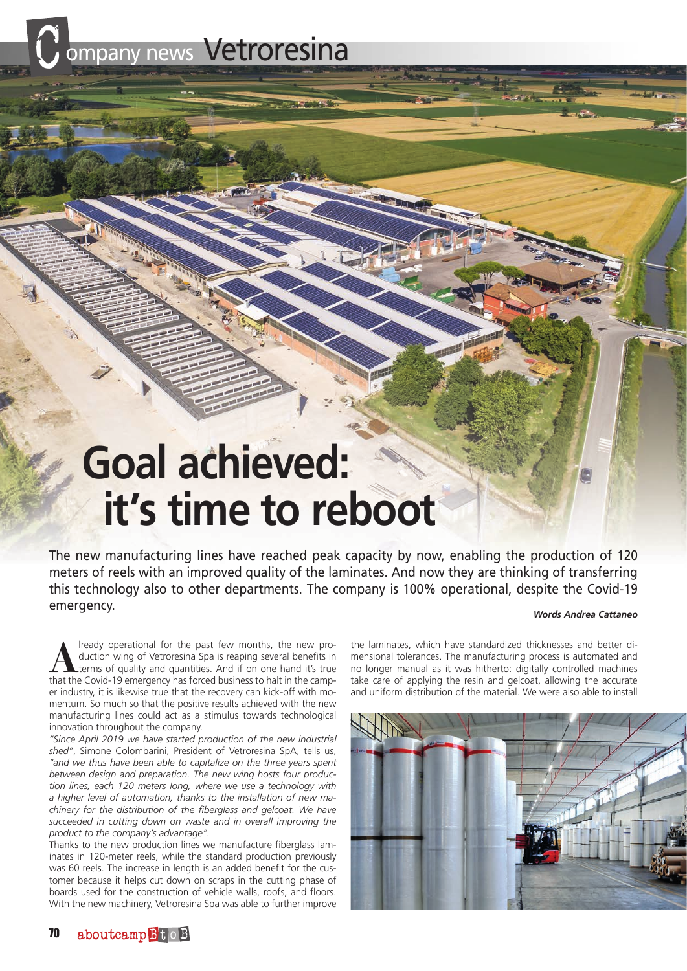ompany news Vetroresina

## **Goal achieved: it's time to reboot**

The new manufacturing lines have reached peak capacity by now, enabling the production of 120 meters of reels with an improved quality of the laminates. And now they are thinking of transferring this technology also to other departments. The company is 100% operational, despite the Covid-19 emergency.

## *Words Andrea Cattaneo*

**A**lready operational for the past few months, the new production wing of Vetroresina Spa is reaping several benefits in terms of quality and quantities. And if on one hand it's true that the Covid-19 emergency has forced business to halt in the camper industry, it is likewise true that the recovery can kick-off with momentum. So much so that the positive results achieved with the new manufacturing lines could act as a stimulus towards technological innovation throughout the company.

*"Since April 2019 we have started production of the new industrial shed"*, Simone Colombarini, President of Vetroresina SpA, tells us, *"and we thus have been able to capitalize on the three years spent between design and preparation. The new wing hosts four production lines, each 120 meters long, where we use a technology with a higher level of automation, thanks to the installation of new machinery for the distribution of the fiberglass and gelcoat. We have succeeded in cutting down on waste and in overall improving the product to the company's advantage".*

Thanks to the new production lines we manufacture fiberglass laminates in 120-meter reels, while the standard production previously was 60 reels. The increase in length is an added benefit for the customer because it helps cut down on scraps in the cutting phase of boards used for the construction of vehicle walls, roofs, and floors. With the new machinery, Vetroresina Spa was able to further improve

the laminates, which have standardized thicknesses and better dimensional tolerances. The manufacturing process is automated and no longer manual as it was hitherto: digitally controlled machines take care of applying the resin and gelcoat, allowing the accurate and uniform distribution of the material. We were also able to install